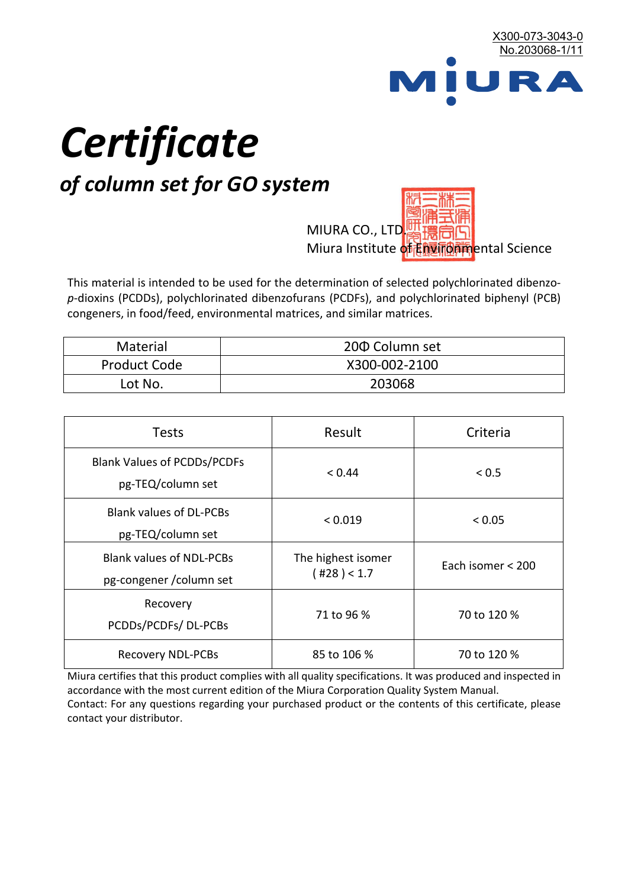

# *Certificate*

## *of column set for GO system*

MIURA CO., LTD. Miura Institute of 正版而解ental Science

This material is intended to be used for the determination of selected polychlorinated dibenzo*p*-dioxins (PCDDs), polychlorinated dibenzofurans (PCDFs), and polychlorinated biphenyl (PCB) congeners, in food/feed, environmental matrices, and similar matrices.

| <b>Material</b>     | 200 Column set |  |
|---------------------|----------------|--|
| <b>Product Code</b> | X300-002-2100  |  |
| Lot No.             | 203068         |  |

| <b>Tests</b>                                                | Result                            | Criteria          |  |
|-------------------------------------------------------------|-----------------------------------|-------------------|--|
| <b>Blank Values of PCDDs/PCDFs</b><br>pg-TEQ/column set     | < 0.44                            | < 0.5             |  |
| <b>Blank values of DL-PCBs</b><br>pg-TEQ/column set         | < 0.019                           | < 0.05            |  |
| <b>Blank values of NDL-PCBs</b><br>pg-congener / column set | The highest isomer<br>(428) < 1.7 | Each isomer < 200 |  |
| Recovery<br>PCDDs/PCDFs/DL-PCBs                             | 71 to 96 %                        | 70 to 120 %       |  |
| <b>Recovery NDL-PCBs</b>                                    | 85 to 106 %                       | 70 to 120 %       |  |

Miura certifies that this product complies with all quality specifications. It was produced and inspected in accordance with the most current edition of the Miura Corporation Quality System Manual. Contact: For any questions regarding your purchased product or the contents of this certificate, please contact your distributor.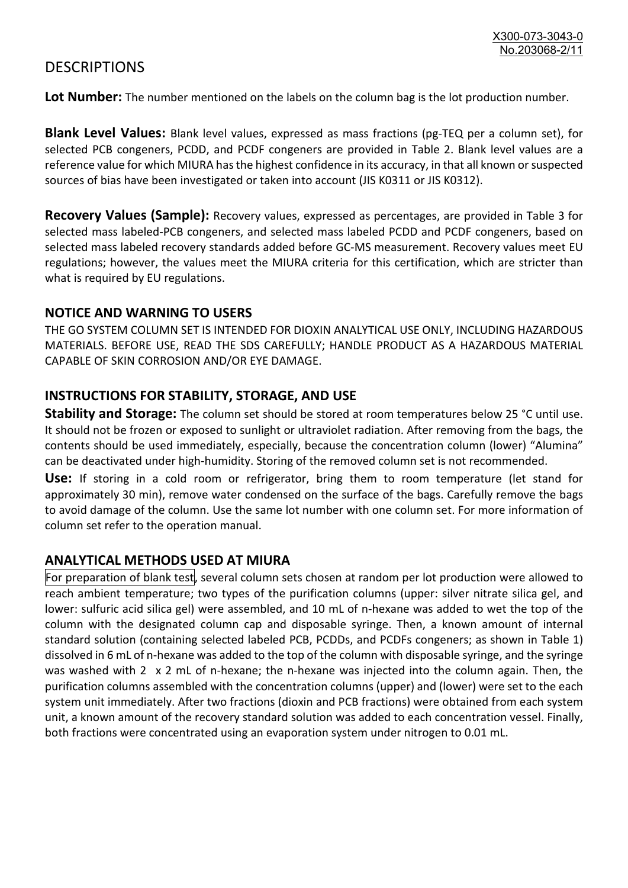### **DESCRIPTIONS**

**Lot Number:** The number mentioned on the labels on the column bag is the lot production number.

**Blank Level Values:** Blank level values, expressed as mass fractions (pg-TEQ per a column set), for selected PCB congeners, PCDD, and PCDF congeners are provided in Table 2. Blank level values are a reference value for which MIURA has the highest confidence in its accuracy, in that all known or suspected sources of bias have been investigated or taken into account (JIS K0311 or JIS K0312).

**Recovery Values (Sample):** Recovery values, expressed as percentages, are provided in Table 3 for selected mass labeled-PCB congeners, and selected mass labeled PCDD and PCDF congeners, based on selected mass labeled recovery standards added before GC-MS measurement. Recovery values meet EU regulations; however, the values meet the MIURA criteria for this certification, which are stricter than what is required by EU regulations.

#### **NOTICE AND WARNING TO USERS**

THE GO SYSTEM COLUMN SET IS INTENDED FOR DIOXIN ANALYTICAL USE ONLY, INCLUDING HAZARDOUS MATERIALS. BEFORE USE, READ THE SDS CAREFULLY; HANDLE PRODUCT AS A HAZARDOUS MATERIAL CAPABLE OF SKIN CORROSION AND/OR EYE DAMAGE.

#### **INSTRUCTIONS FOR STABILITY, STORAGE, AND USE**

**Stability and Storage:** The column set should be stored at room temperatures below 25 °C until use. It should not be frozen or exposed to sunlight or ultraviolet radiation. After removing from the bags, the contents should be used immediately, especially, because the concentration column (lower) "Alumina" can be deactivated under high-humidity. Storing of the removed column set is not recommended.

**Use:** If storing in a cold room or refrigerator, bring them to room temperature (let stand for approximately 30 min), remove water condensed on the surface of the bags. Carefully remove the bags to avoid damage of the column. Use the same lot number with one column set. For more information of column set refer to the operation manual.

#### **ANALYTICAL METHODS USED AT MIURA**

For preparation of blank test, several column sets chosen at random per lot production were allowed to reach ambient temperature; two types of the purification columns (upper: silver nitrate silica gel, and lower: sulfuric acid silica gel) were assembled, and 10 mL of n-hexane was added to wet the top of the column with the designated column cap and disposable syringe. Then, a known amount of internal standard solution (containing selected labeled PCB, PCDDs, and PCDFs congeners; as shown in Table 1) dissolved in 6 mL of n-hexane was added to the top of the column with disposable syringe, and the syringe was washed with 2 x 2 mL of n-hexane; the n-hexane was injected into the column again. Then, the purification columns assembled with the concentration columns (upper) and (lower) were set to the each system unit immediately. After two fractions (dioxin and PCB fractions) were obtained from each system unit, a known amount of the recovery standard solution was added to each concentration vessel. Finally, both fractions were concentrated using an evaporation system under nitrogen to 0.01 mL.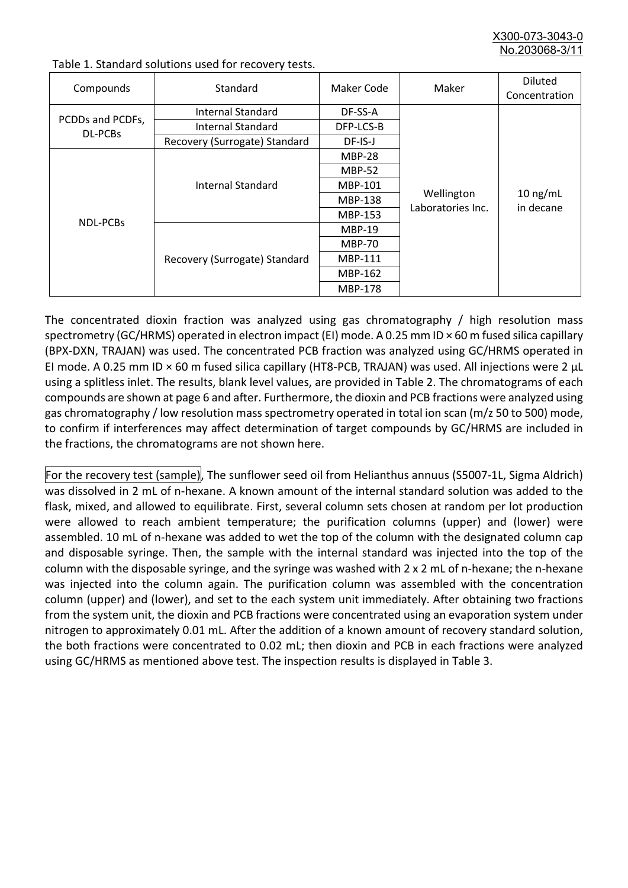X300-073-3043-0 No.203068-3/

| Compounds                          | Standard                      | Maker Code     | Maker                           | <b>Diluted</b><br>Concentration |
|------------------------------------|-------------------------------|----------------|---------------------------------|---------------------------------|
|                                    | Internal Standard             | DF-SS-A        |                                 | $10$ ng/mL<br>in decane         |
| PCDDs and PCDFs,<br><b>DL-PCBs</b> | <b>Internal Standard</b>      | DFP-LCS-B      | Wellington<br>Laboratories Inc. |                                 |
|                                    | Recovery (Surrogate) Standard | DF-IS-J        |                                 |                                 |
| NDL-PCBs                           | Internal Standard             | <b>MBP-28</b>  |                                 |                                 |
|                                    |                               | <b>MBP-52</b>  |                                 |                                 |
|                                    |                               | MBP-101        |                                 |                                 |
|                                    |                               | <b>MBP-138</b> |                                 |                                 |
|                                    |                               | MBP-153        |                                 |                                 |
|                                    | Recovery (Surrogate) Standard | <b>MBP-19</b>  |                                 |                                 |
|                                    |                               | <b>MBP-70</b>  |                                 |                                 |
|                                    |                               | <b>MBP-111</b> |                                 |                                 |
|                                    |                               | MBP-162        |                                 |                                 |
|                                    |                               | <b>MBP-178</b> |                                 |                                 |

Table 1. Standard solutions used for recovery tests.

The concentrated dioxin fraction was analyzed using gas chromatography / high resolution mass spectrometry (GC/HRMS) operated in electron impact (EI) mode. A 0.25 mm ID × 60 m fused silica capillary (BPX-DXN, TRAJAN) was used. The concentrated PCB fraction was analyzed using GC/HRMS operated in EI mode. A 0.25 mm ID × 60 m fused silica capillary (HT8-PCB, TRAJAN) was used. All injections were 2 μL using a splitless inlet. The results, blank level values, are provided in Table 2. The chromatograms of each compounds are shown at page 6 and after. Furthermore, the dioxin and PCB fractions were analyzed using gas chromatography / low resolution mass spectrometry operated in total ion scan (m/z 50 to 500) mode, to confirm if interferences may affect determination of target compounds by GC/HRMS are included in the fractions, the chromatograms are not shown here.

For the recovery test (sample), The sunflower seed oil from Helianthus annuus (S5007-1L, Sigma Aldrich) was dissolved in 2 mL of n-hexane. A known amount of the internal standard solution was added to the flask, mixed, and allowed to equilibrate. First, several column sets chosen at random per lot production were allowed to reach ambient temperature; the purification columns (upper) and (lower) were assembled. 10 mL of n-hexane was added to wet the top of the column with the designated column cap and disposable syringe. Then, the sample with the internal standard was injected into the top of the column with the disposable syringe, and the syringe was washed with 2 x 2 mL of n-hexane; the n-hexane was injected into the column again. The purification column was assembled with the concentration column (upper) and (lower), and set to the each system unit immediately. After obtaining two fractions from the system unit, the dioxin and PCB fractions were concentrated using an evaporation system under nitrogen to approximately 0.01 mL. After the addition of a known amount of recovery standard solution, the both fractions were concentrated to 0.02 mL; then dioxin and PCB in each fractions were analyzed using GC/HRMS as mentioned above test. The inspection results is displayed in Table 3.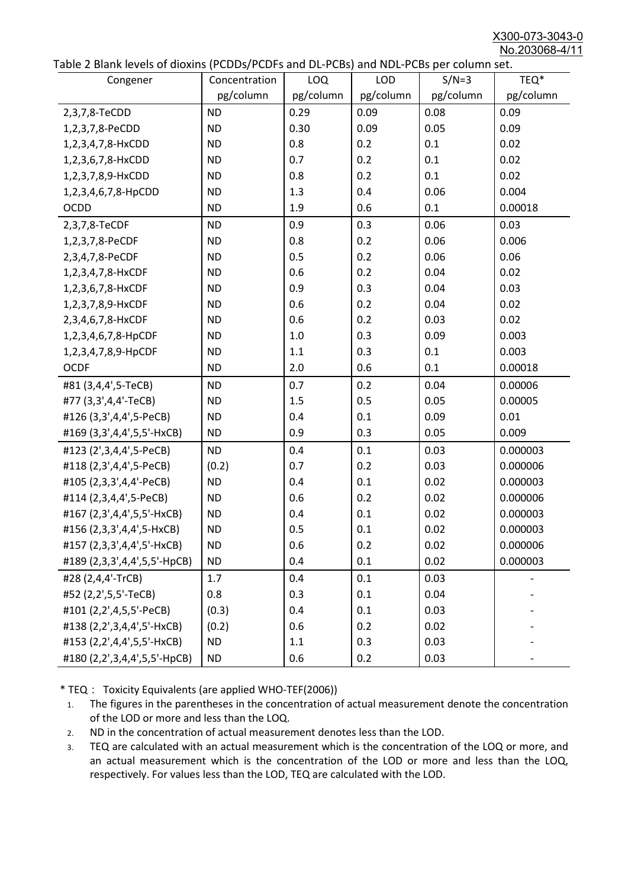X300-073-3043-0 No.203068-4/11

|  |  | Table 2 Blank levels of dioxins (PCDDs/PCDFs and DL-PCBs) and NDL-PCBs per column set. |
|--|--|----------------------------------------------------------------------------------------|
|--|--|----------------------------------------------------------------------------------------|

| able 2 Dialik levels of dioxilis (PCDDs/PCDI's and DL-PCDs) and NDL-PCDs per coldinii set.<br>Congener | Concentration | <b>LOQ</b> | <b>LOD</b> | $S/N=3$   | TEQ*      |
|--------------------------------------------------------------------------------------------------------|---------------|------------|------------|-----------|-----------|
|                                                                                                        | pg/column     | pg/column  | pg/column  | pg/column | pg/column |
| 2,3,7,8-TeCDD                                                                                          | <b>ND</b>     | 0.29       | 0.09       | 0.08      | 0.09      |
| 1,2,3,7,8-PeCDD                                                                                        | <b>ND</b>     | 0.30       | 0.09       | 0.05      | 0.09      |
| 1,2,3,4,7,8-HxCDD                                                                                      | <b>ND</b>     | 0.8        | 0.2        | 0.1       | 0.02      |
| 1,2,3,6,7,8-HxCDD                                                                                      | <b>ND</b>     | 0.7        | 0.2        | 0.1       | 0.02      |
| 1,2,3,7,8,9-HxCDD                                                                                      | <b>ND</b>     | 0.8        | 0.2        | 0.1       | 0.02      |
| 1,2,3,4,6,7,8-HpCDD                                                                                    | <b>ND</b>     | 1.3        | 0.4        | 0.06      | 0.004     |
| <b>OCDD</b>                                                                                            | <b>ND</b>     | 1.9        | 0.6        | 0.1       | 0.00018   |
| 2,3,7,8-TeCDF                                                                                          | <b>ND</b>     | 0.9        | 0.3        | 0.06      | 0.03      |
| 1,2,3,7,8-PeCDF                                                                                        | <b>ND</b>     | 0.8        | 0.2        | 0.06      | 0.006     |
| 2,3,4,7,8-PeCDF                                                                                        | <b>ND</b>     | 0.5        | 0.2        | 0.06      | 0.06      |
| 1,2,3,4,7,8-HxCDF                                                                                      | <b>ND</b>     | 0.6        | 0.2        | 0.04      | 0.02      |
| 1,2,3,6,7,8-HxCDF                                                                                      | <b>ND</b>     | 0.9        | 0.3        | 0.04      | 0.03      |
| 1,2,3,7,8,9-HxCDF                                                                                      | <b>ND</b>     | 0.6        | 0.2        | 0.04      | 0.02      |
| 2,3,4,6,7,8-HxCDF                                                                                      | <b>ND</b>     | 0.6        | 0.2        | 0.03      | 0.02      |
| 1,2,3,4,6,7,8-HpCDF                                                                                    | <b>ND</b>     | 1.0        | 0.3        | 0.09      | 0.003     |
| 1,2,3,4,7,8,9-HpCDF                                                                                    | <b>ND</b>     | 1.1        | 0.3        | 0.1       | 0.003     |
| <b>OCDF</b>                                                                                            | <b>ND</b>     | 2.0        | 0.6        | 0.1       | 0.00018   |
| #81 (3,4,4',5-TeCB)                                                                                    | <b>ND</b>     | 0.7        | 0.2        | 0.04      | 0.00006   |
| #77 (3,3',4,4'-TeCB)                                                                                   | <b>ND</b>     | 1.5        | 0.5        | 0.05      | 0.00005   |
| #126 (3,3',4,4',5-PeCB)                                                                                | <b>ND</b>     | 0.4        | 0.1        | 0.09      | 0.01      |
| #169 (3,3',4,4',5,5'-HxCB)                                                                             | <b>ND</b>     | 0.9        | 0.3        | 0.05      | 0.009     |
| #123 (2',3,4,4',5-PeCB)                                                                                | <b>ND</b>     | 0.4        | 0.1        | 0.03      | 0.000003  |
| #118 (2,3',4,4',5-PeCB)                                                                                | (0.2)         | 0.7        | 0.2        | 0.03      | 0.000006  |
| #105 (2,3,3',4,4'-PeCB)                                                                                | <b>ND</b>     | 0.4        | 0.1        | 0.02      | 0.000003  |
| #114 (2,3,4,4',5-PeCB)                                                                                 | <b>ND</b>     | 0.6        | 0.2        | 0.02      | 0.000006  |
| #167 (2,3',4,4',5,5'-HxCB)                                                                             | <b>ND</b>     | 0.4        | 0.1        | 0.02      | 0.000003  |
| #156 (2,3,3',4,4',5-HxCB)                                                                              | <b>ND</b>     | 0.5        | 0.1        | 0.02      | 0.000003  |
| #157 (2,3,3',4,4',5'-HxCB)                                                                             | <b>ND</b>     | 0.6        | 0.2        | 0.02      | 0.000006  |
| #189 (2,3,3',4,4',5,5'-HpCB)                                                                           | <b>ND</b>     | 0.4        | 0.1        | 0.02      | 0.000003  |
| #28 (2,4,4'-TrCB)                                                                                      | 1.7           | 0.4        | 0.1        | 0.03      |           |
| #52 (2,2',5,5'-TeCB)                                                                                   | 0.8           | 0.3        | 0.1        | 0.04      |           |
| #101 (2,2',4,5,5'-PeCB)                                                                                | (0.3)         | 0.4        | 0.1        | 0.03      |           |
| #138 (2,2',3,4,4',5'-HxCB)                                                                             | (0.2)         | 0.6        | 0.2        | 0.02      |           |
| #153 (2,2',4,4',5,5'-HxCB)                                                                             | <b>ND</b>     | 1.1        | 0.3        | 0.03      |           |
| #180 (2,2',3,4,4',5,5'-HpCB)                                                                           | <b>ND</b>     | 0.6        | 0.2        | 0.03      |           |

\* TEQ: Toxicity Equivalents (are applied WHO-TEF(2006))

- 1. The figures in the parentheses in the concentration of actual measurement denote the concentration of the LOD or more and less than the LOQ.
- 2. ND in the concentration of actual measurement denotes less than the LOD.
- 3. TEQ are calculated with an actual measurement which is the concentration of the LOQ or more, and an actual measurement which is the concentration of the LOD or more and less than the LOQ, respectively. For values less than the LOD, TEQ are calculated with the LOD.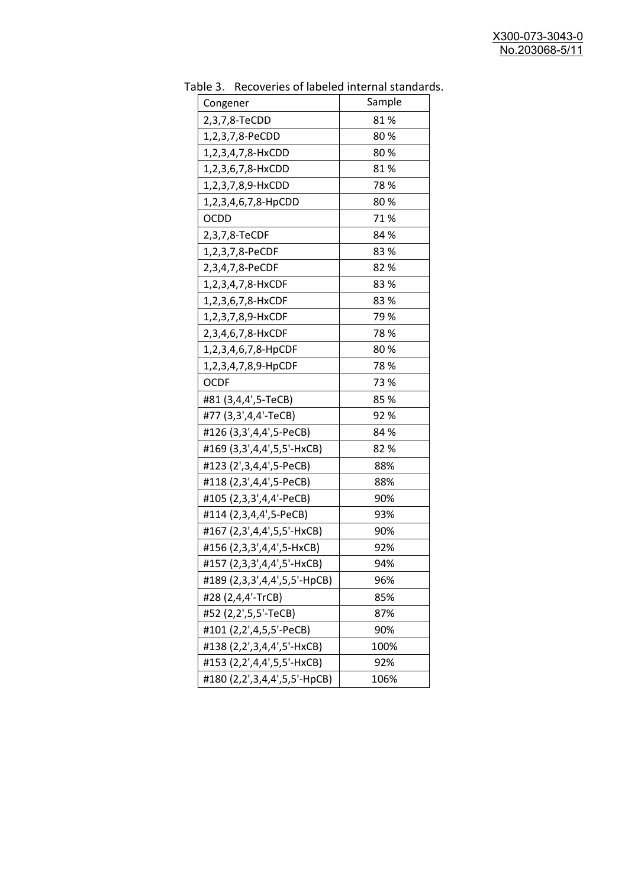| 81%<br>2,3,7,8-TeCDD<br>80%<br>1,2,3,7,8-PeCDD<br>80%<br>1,2,3,4,7,8-HxCDD<br>81%<br>1,2,3,6,7,8-HxCDD<br>78%<br>1,2,3,7,8,9-HxCDD<br>80%<br>1,2,3,4,6,7,8-HpCDD<br>71%<br><b>OCDD</b><br>2,3,7,8-TeCDF<br>84 %<br>1,2,3,7,8-PeCDF<br>83%<br>82%<br>2,3,4,7,8-PeCDF<br>83%<br>1,2,3,4,7,8-HxCDF<br>1,2,3,6,7,8-HxCDF<br>83%<br>79 %<br>1,2,3,7,8,9-HxCDF<br>78%<br>2,3,4,6,7,8-HxCDF<br>1,2,3,4,6,7,8-HpCDF<br>80%<br>78 %<br>1,2,3,4,7,8,9-HpCDF<br>73%<br><b>OCDF</b><br>#81 (3,4,4',5-TeCB)<br>85%<br>#77 (3,3',4,4'-TeCB)<br>92%<br>#126 (3,3',4,4',5-PeCB)<br>84 %<br>#169 (3,3',4,4',5,5'-HxCB)<br>82 %<br>#123 (2',3,4,4',5-PeCB)<br>88%<br>#118 (2,3',4,4',5-PeCB)<br>88%<br>#105 (2,3,3',4,4'-PeCB)<br>90%<br>#114 (2,3,4,4',5-PeCB)<br>93%<br>#167 (2,3',4,4',5,5'-HxCB)<br>90%<br>#156 (2,3,3',4,4',5-HxCB)<br>92% | uwic J.<br>Recoveries of fabeled internal standar<br>Congener | Sample |
|-------------------------------------------------------------------------------------------------------------------------------------------------------------------------------------------------------------------------------------------------------------------------------------------------------------------------------------------------------------------------------------------------------------------------------------------------------------------------------------------------------------------------------------------------------------------------------------------------------------------------------------------------------------------------------------------------------------------------------------------------------------------------------------------------------------------------------|---------------------------------------------------------------|--------|
|                                                                                                                                                                                                                                                                                                                                                                                                                                                                                                                                                                                                                                                                                                                                                                                                                               |                                                               |        |
|                                                                                                                                                                                                                                                                                                                                                                                                                                                                                                                                                                                                                                                                                                                                                                                                                               |                                                               |        |
|                                                                                                                                                                                                                                                                                                                                                                                                                                                                                                                                                                                                                                                                                                                                                                                                                               |                                                               |        |
|                                                                                                                                                                                                                                                                                                                                                                                                                                                                                                                                                                                                                                                                                                                                                                                                                               |                                                               |        |
|                                                                                                                                                                                                                                                                                                                                                                                                                                                                                                                                                                                                                                                                                                                                                                                                                               |                                                               |        |
|                                                                                                                                                                                                                                                                                                                                                                                                                                                                                                                                                                                                                                                                                                                                                                                                                               |                                                               |        |
|                                                                                                                                                                                                                                                                                                                                                                                                                                                                                                                                                                                                                                                                                                                                                                                                                               |                                                               |        |
|                                                                                                                                                                                                                                                                                                                                                                                                                                                                                                                                                                                                                                                                                                                                                                                                                               |                                                               |        |
|                                                                                                                                                                                                                                                                                                                                                                                                                                                                                                                                                                                                                                                                                                                                                                                                                               |                                                               |        |
|                                                                                                                                                                                                                                                                                                                                                                                                                                                                                                                                                                                                                                                                                                                                                                                                                               |                                                               |        |
|                                                                                                                                                                                                                                                                                                                                                                                                                                                                                                                                                                                                                                                                                                                                                                                                                               |                                                               |        |
|                                                                                                                                                                                                                                                                                                                                                                                                                                                                                                                                                                                                                                                                                                                                                                                                                               |                                                               |        |
|                                                                                                                                                                                                                                                                                                                                                                                                                                                                                                                                                                                                                                                                                                                                                                                                                               |                                                               |        |
|                                                                                                                                                                                                                                                                                                                                                                                                                                                                                                                                                                                                                                                                                                                                                                                                                               |                                                               |        |
|                                                                                                                                                                                                                                                                                                                                                                                                                                                                                                                                                                                                                                                                                                                                                                                                                               |                                                               |        |
|                                                                                                                                                                                                                                                                                                                                                                                                                                                                                                                                                                                                                                                                                                                                                                                                                               |                                                               |        |
|                                                                                                                                                                                                                                                                                                                                                                                                                                                                                                                                                                                                                                                                                                                                                                                                                               |                                                               |        |
|                                                                                                                                                                                                                                                                                                                                                                                                                                                                                                                                                                                                                                                                                                                                                                                                                               |                                                               |        |
|                                                                                                                                                                                                                                                                                                                                                                                                                                                                                                                                                                                                                                                                                                                                                                                                                               |                                                               |        |
|                                                                                                                                                                                                                                                                                                                                                                                                                                                                                                                                                                                                                                                                                                                                                                                                                               |                                                               |        |
|                                                                                                                                                                                                                                                                                                                                                                                                                                                                                                                                                                                                                                                                                                                                                                                                                               |                                                               |        |
|                                                                                                                                                                                                                                                                                                                                                                                                                                                                                                                                                                                                                                                                                                                                                                                                                               |                                                               |        |
|                                                                                                                                                                                                                                                                                                                                                                                                                                                                                                                                                                                                                                                                                                                                                                                                                               |                                                               |        |
|                                                                                                                                                                                                                                                                                                                                                                                                                                                                                                                                                                                                                                                                                                                                                                                                                               |                                                               |        |
|                                                                                                                                                                                                                                                                                                                                                                                                                                                                                                                                                                                                                                                                                                                                                                                                                               |                                                               |        |
|                                                                                                                                                                                                                                                                                                                                                                                                                                                                                                                                                                                                                                                                                                                                                                                                                               |                                                               |        |
|                                                                                                                                                                                                                                                                                                                                                                                                                                                                                                                                                                                                                                                                                                                                                                                                                               |                                                               |        |
|                                                                                                                                                                                                                                                                                                                                                                                                                                                                                                                                                                                                                                                                                                                                                                                                                               | #157 (2,3,3',4,4',5'-HxCB)                                    | 94%    |
| #189 (2,3,3',4,4',5,5'-HpCB)<br>96%                                                                                                                                                                                                                                                                                                                                                                                                                                                                                                                                                                                                                                                                                                                                                                                           |                                                               |        |
| #28 (2,4,4'-TrCB)<br>85%                                                                                                                                                                                                                                                                                                                                                                                                                                                                                                                                                                                                                                                                                                                                                                                                      |                                                               |        |
| #52 (2,2',5,5'-TeCB)<br>87%                                                                                                                                                                                                                                                                                                                                                                                                                                                                                                                                                                                                                                                                                                                                                                                                   |                                                               |        |
| #101 (2,2',4,5,5'-PeCB)<br>90%                                                                                                                                                                                                                                                                                                                                                                                                                                                                                                                                                                                                                                                                                                                                                                                                |                                                               |        |
| #138 (2,2',3,4,4',5'-HxCB)<br>100%                                                                                                                                                                                                                                                                                                                                                                                                                                                                                                                                                                                                                                                                                                                                                                                            |                                                               |        |
| #153 (2,2',4,4',5,5'-HxCB)<br>92%                                                                                                                                                                                                                                                                                                                                                                                                                                                                                                                                                                                                                                                                                                                                                                                             |                                                               |        |
| #180 (2,2',3,4,4',5,5'-HpCB)<br>106%                                                                                                                                                                                                                                                                                                                                                                                                                                                                                                                                                                                                                                                                                                                                                                                          |                                                               |        |

Table 3. Recoveries of labeled internal standards.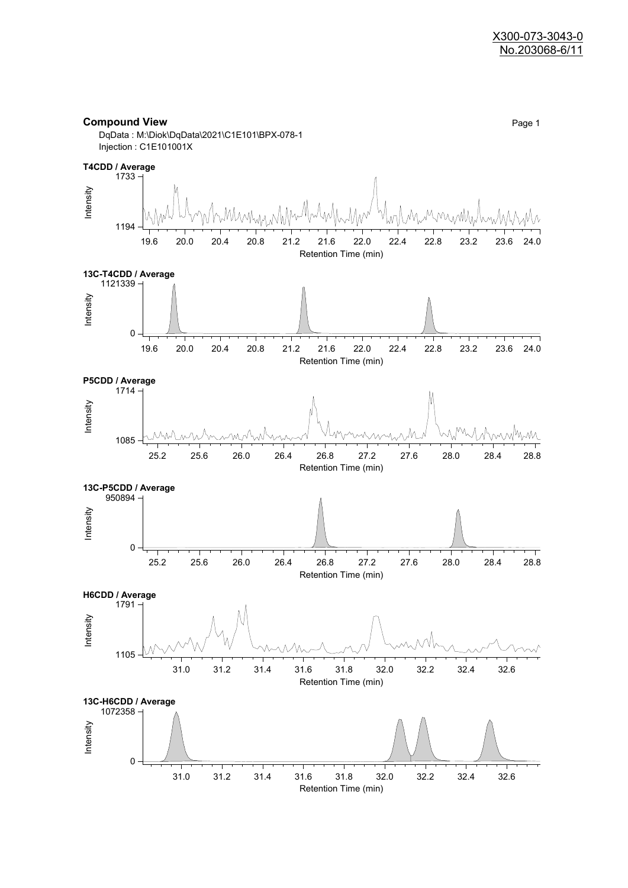



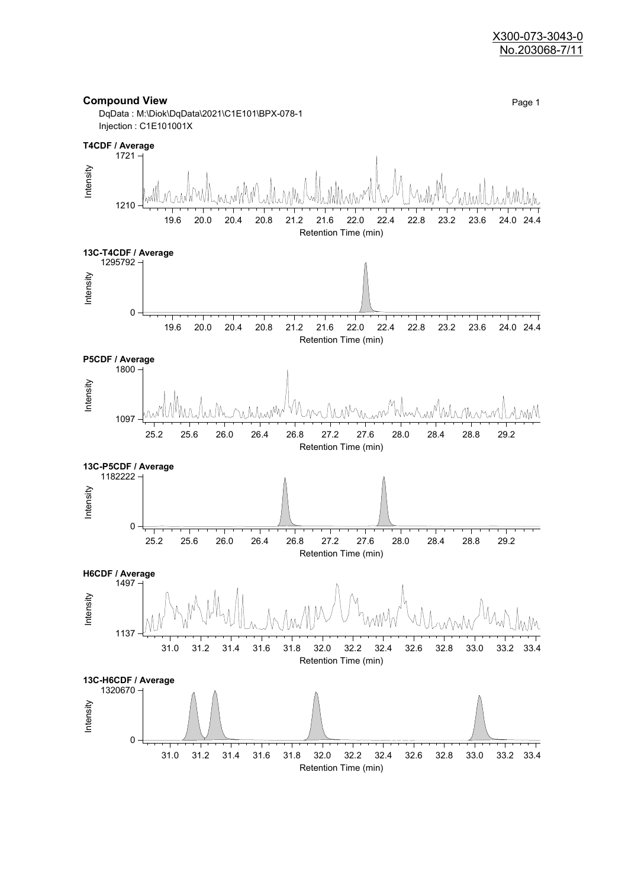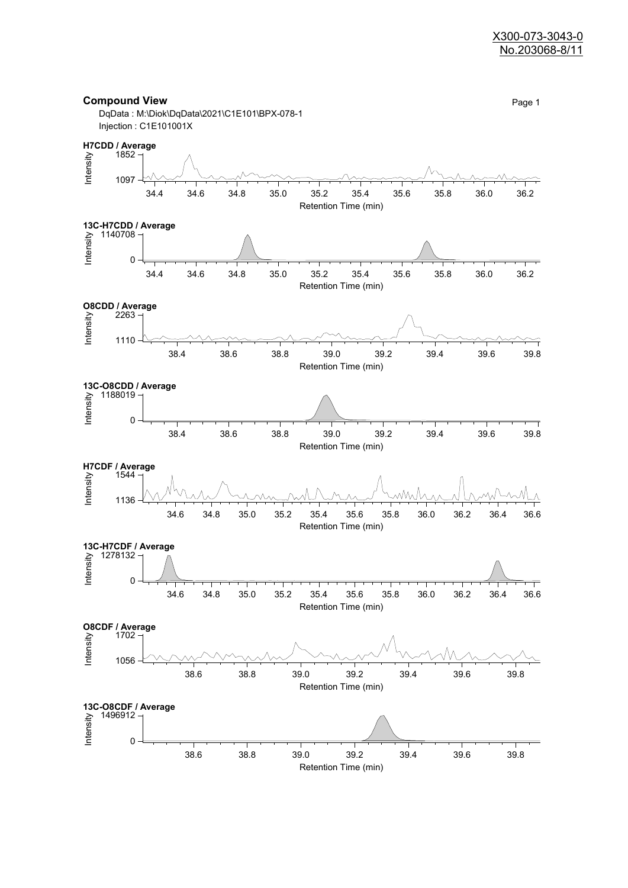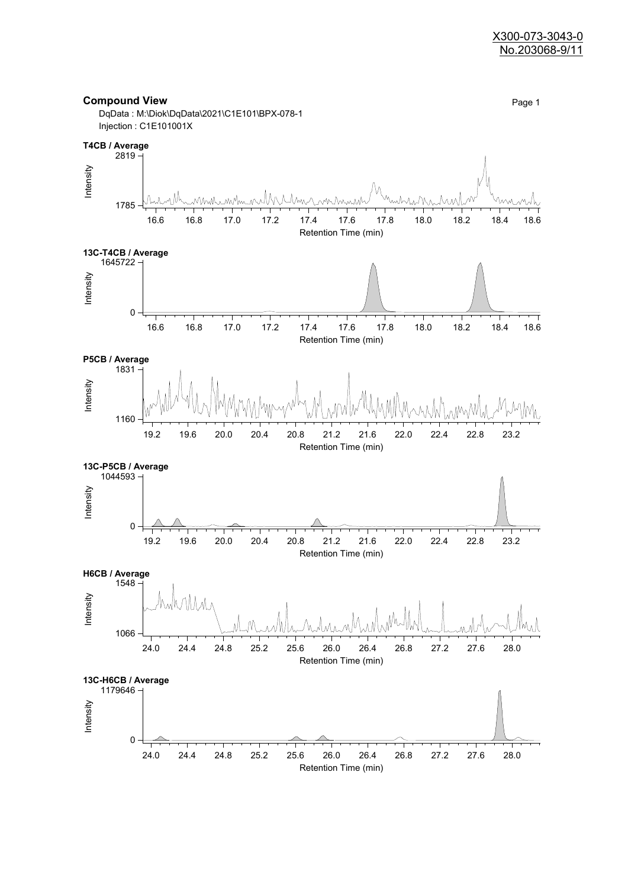

Retention Time (min)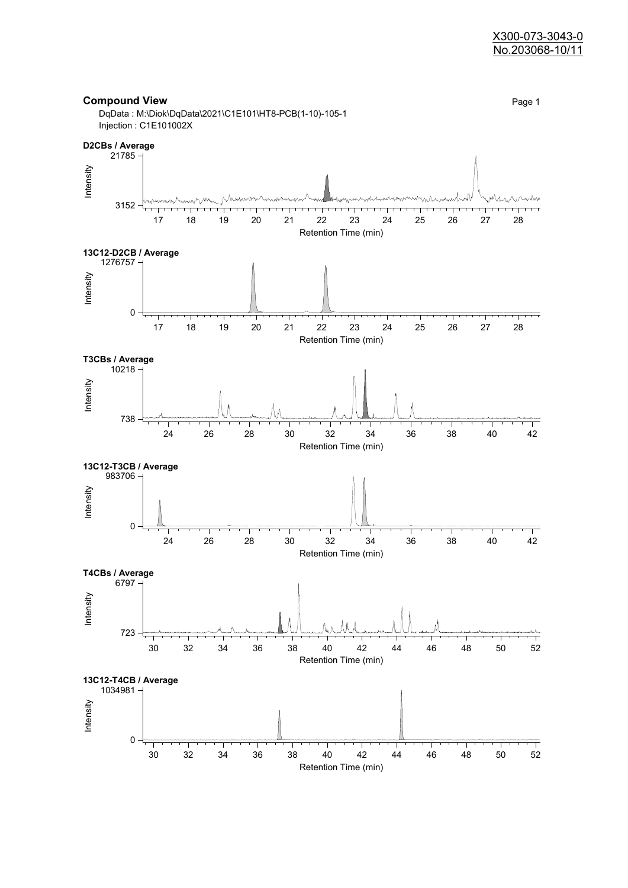